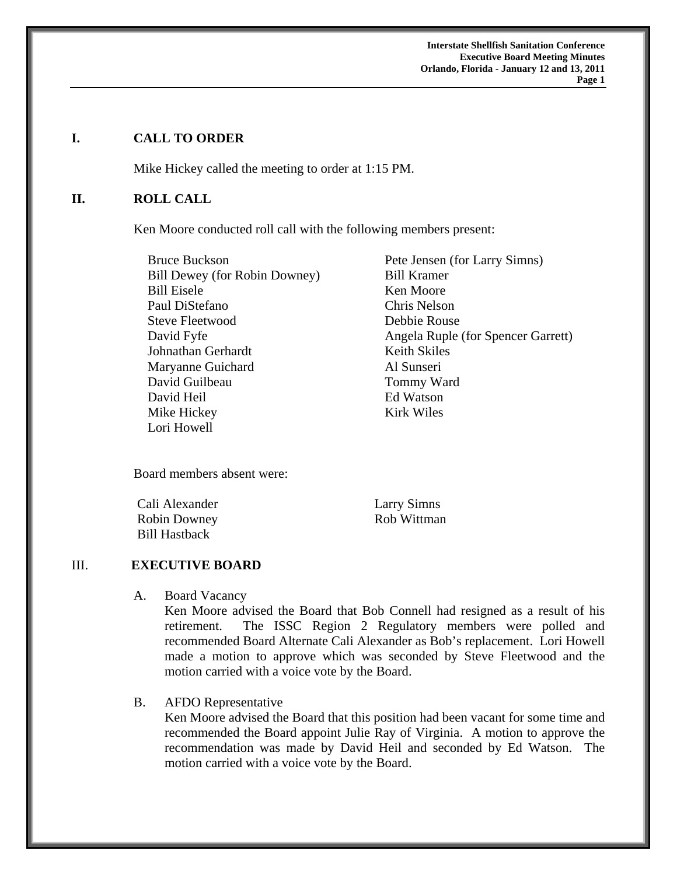**Interstate Shellfish Sanitation Conference Executive Board Meeting Minutes Orlando, Florida - January 12 and 13, 2011** 

**Page 1** 

#### **I. CALL TO ORDER**

Mike Hickey called the meeting to order at 1:15 PM.

#### **II. ROLL CALL**

Ken Moore conducted roll call with the following members present:

Bruce Buckson Bill Dewey (for Robin Downey) Bill Eisele Paul DiStefano Steve Fleetwood David Fyfe Johnathan Gerhardt Maryanne Guichard David Guilbeau David Heil Mike Hickey Lori Howell

Pete Jensen (for Larry Simns) Bill Kramer Ken Moore Chris Nelson Debbie Rouse Angela Ruple (for Spencer Garrett) Keith Skiles Al Sunseri Tommy Ward Ed Watson Kirk Wiles

Board members absent were:

Cali Alexander Robin Downey Bill Hastback

Larry Simns Rob Wittman

### III. **EXECUTIVE BOARD**

A. Board Vacancy

Ken Moore advised the Board that Bob Connell had resigned as a result of his retirement. The ISSC Region 2 Regulatory members were polled and recommended Board Alternate Cali Alexander as Bob's replacement. Lori Howell made a motion to approve which was seconded by Steve Fleetwood and the motion carried with a voice vote by the Board.

B. AFDO Representative

Ken Moore advised the Board that this position had been vacant for some time and recommended the Board appoint Julie Ray of Virginia. A motion to approve the recommendation was made by David Heil and seconded by Ed Watson. The motion carried with a voice vote by the Board.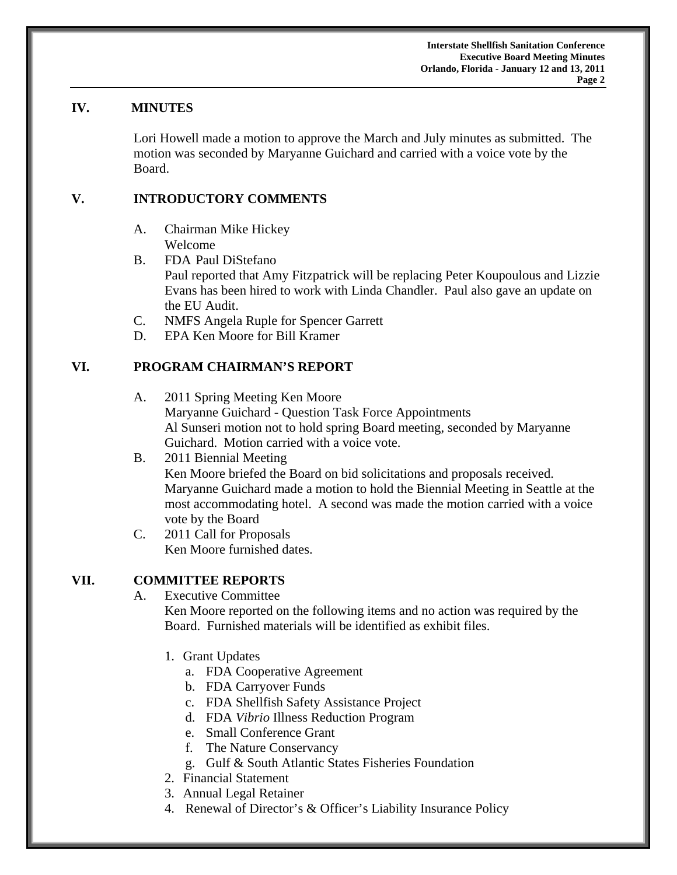### **IV. MINUTES**

Lori Howell made a motion to approve the March and July minutes as submitted. The motion was seconded by Maryanne Guichard and carried with a voice vote by the Board.

### **V. INTRODUCTORY COMMENTS**

- A. Chairman Mike Hickey Welcome
- B. FDA Paul DiStefano Paul reported that Amy Fitzpatrick will be replacing Peter Koupoulous and Lizzie Evans has been hired to work with Linda Chandler. Paul also gave an update on the EU Audit.
- C. NMFS Angela Ruple for Spencer Garrett
- D. EPA Ken Moore for Bill Kramer

# **VI. PROGRAM CHAIRMAN'S REPORT**

- A. 2011 Spring Meeting Ken Moore Maryanne Guichard - Question Task Force Appointments Al Sunseri motion not to hold spring Board meeting, seconded by Maryanne Guichard. Motion carried with a voice vote.
- B. 2011 Biennial Meeting Ken Moore briefed the Board on bid solicitations and proposals received. Maryanne Guichard made a motion to hold the Biennial Meeting in Seattle at the most accommodating hotel. A second was made the motion carried with a voice vote by the Board
- C. 2011 Call for Proposals Ken Moore furnished dates.

### **VII. COMMITTEE REPORTS**

A. Executive Committee

Ken Moore reported on the following items and no action was required by the Board. Furnished materials will be identified as exhibit files.

- 1. Grant Updates
	- a. FDA Cooperative Agreement
	- b. FDA Carryover Funds
	- c. FDA Shellfish Safety Assistance Project
	- d. FDA *Vibrio* Illness Reduction Program
	- e. Small Conference Grant
	- f. The Nature Conservancy
	- g. Gulf & South Atlantic States Fisheries Foundation
- 2. Financial Statement
- 3. Annual Legal Retainer
- 4. Renewal of Director's & Officer's Liability Insurance Policy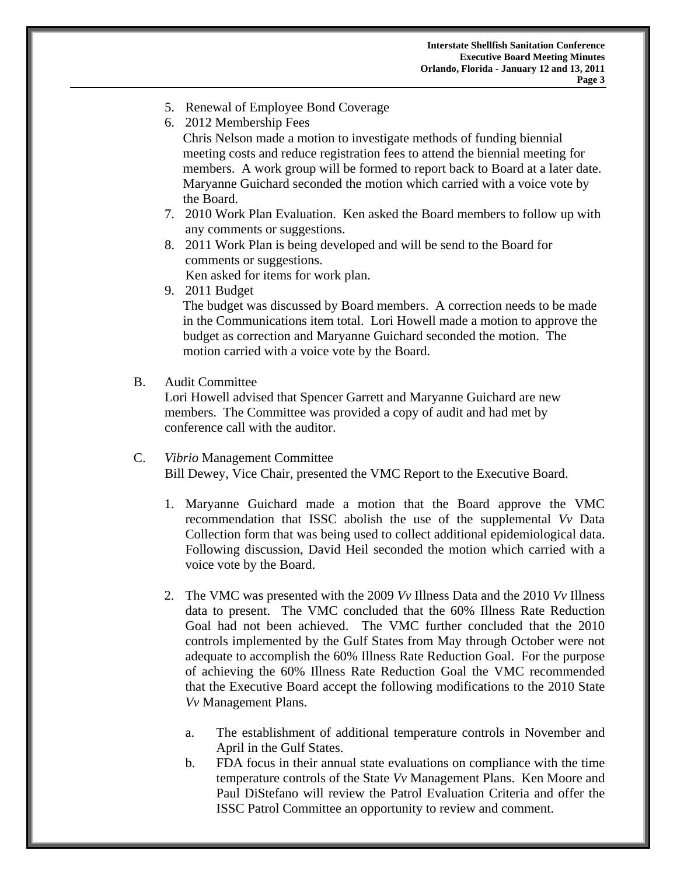- 5. Renewal of Employee Bond Coverage
- 6. 2012 Membership Fees Chris Nelson made a motion to investigate methods of funding biennial meeting costs and reduce registration fees to attend the biennial meeting for members. A work group will be formed to report back to Board at a later date. Maryanne Guichard seconded the motion which carried with a voice vote by the Board.
- 7. 2010 Work Plan Evaluation. Ken asked the Board members to follow up with any comments or suggestions.
- 8. 2011 Work Plan is being developed and will be send to the Board for comments or suggestions. Ken asked for items for work plan.
- 9. 2011 Budget

The budget was discussed by Board members. A correction needs to be made in the Communications item total. Lori Howell made a motion to approve the budget as correction and Maryanne Guichard seconded the motion. The motion carried with a voice vote by the Board.

B. Audit Committee

Lori Howell advised that Spencer Garrett and Maryanne Guichard are new members. The Committee was provided a copy of audit and had met by conference call with the auditor.

- C. *Vibrio* Management Committee Bill Dewey, Vice Chair, presented the VMC Report to the Executive Board.
	- 1. Maryanne Guichard made a motion that the Board approve the VMC recommendation that ISSC abolish the use of the supplemental *Vv* Data Collection form that was being used to collect additional epidemiological data. Following discussion, David Heil seconded the motion which carried with a voice vote by the Board.
	- 2. The VMC was presented with the 2009 *Vv* Illness Data and the 2010 *Vv* Illness data to present. The VMC concluded that the 60% Illness Rate Reduction Goal had not been achieved. The VMC further concluded that the 2010 controls implemented by the Gulf States from May through October were not adequate to accomplish the 60% Illness Rate Reduction Goal. For the purpose of achieving the 60% Illness Rate Reduction Goal the VMC recommended that the Executive Board accept the following modifications to the 2010 State *Vv* Management Plans.
		- a. The establishment of additional temperature controls in November and April in the Gulf States.
		- b. FDA focus in their annual state evaluations on compliance with the time temperature controls of the State *Vv* Management Plans. Ken Moore and Paul DiStefano will review the Patrol Evaluation Criteria and offer the ISSC Patrol Committee an opportunity to review and comment.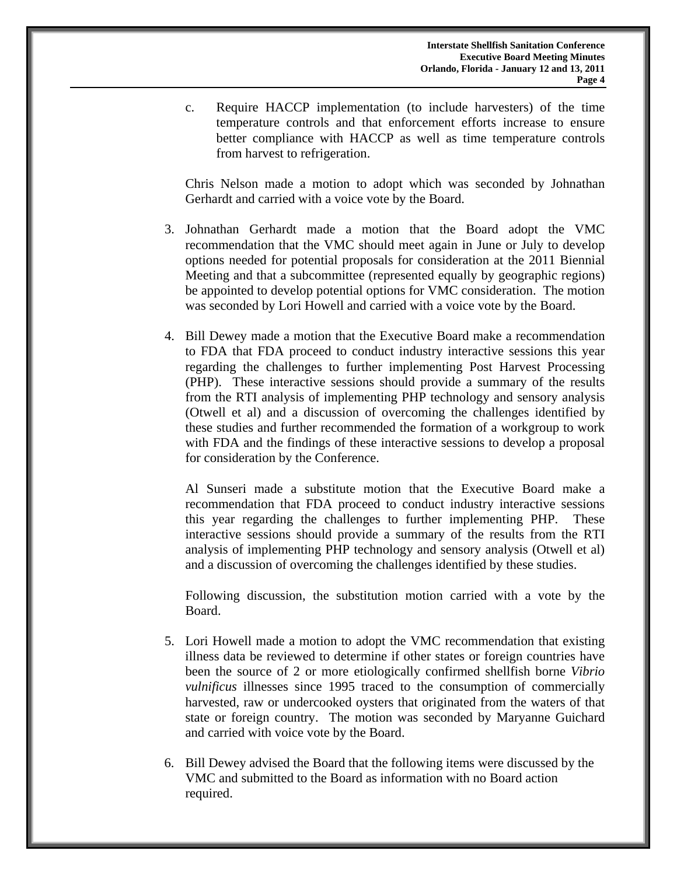c. Require HACCP implementation (to include harvesters) of the time temperature controls and that enforcement efforts increase to ensure better compliance with HACCP as well as time temperature controls from harvest to refrigeration.

Chris Nelson made a motion to adopt which was seconded by Johnathan Gerhardt and carried with a voice vote by the Board.

- 3. Johnathan Gerhardt made a motion that the Board adopt the VMC recommendation that the VMC should meet again in June or July to develop options needed for potential proposals for consideration at the 2011 Biennial Meeting and that a subcommittee (represented equally by geographic regions) be appointed to develop potential options for VMC consideration. The motion was seconded by Lori Howell and carried with a voice vote by the Board.
- 4. Bill Dewey made a motion that the Executive Board make a recommendation to FDA that FDA proceed to conduct industry interactive sessions this year regarding the challenges to further implementing Post Harvest Processing (PHP). These interactive sessions should provide a summary of the results from the RTI analysis of implementing PHP technology and sensory analysis (Otwell et al) and a discussion of overcoming the challenges identified by these studies and further recommended the formation of a workgroup to work with FDA and the findings of these interactive sessions to develop a proposal for consideration by the Conference.

 Al Sunseri made a substitute motion that the Executive Board make a recommendation that FDA proceed to conduct industry interactive sessions this year regarding the challenges to further implementing PHP. These interactive sessions should provide a summary of the results from the RTI analysis of implementing PHP technology and sensory analysis (Otwell et al) and a discussion of overcoming the challenges identified by these studies.

Following discussion, the substitution motion carried with a vote by the Board.

- 5. Lori Howell made a motion to adopt the VMC recommendation that existing illness data be reviewed to determine if other states or foreign countries have been the source of 2 or more etiologically confirmed shellfish borne *Vibrio vulnificus* illnesses since 1995 traced to the consumption of commercially harvested, raw or undercooked oysters that originated from the waters of that state or foreign country. The motion was seconded by Maryanne Guichard and carried with voice vote by the Board.
- 6. Bill Dewey advised the Board that the following items were discussed by the VMC and submitted to the Board as information with no Board action required.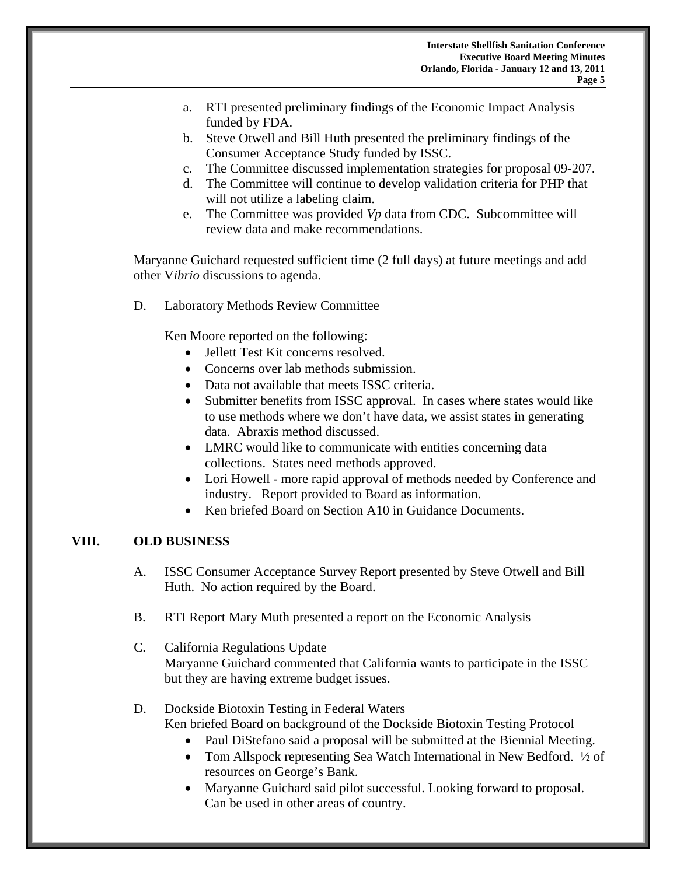- a. RTI presented preliminary findings of the Economic Impact Analysis funded by FDA.
- b. Steve Otwell and Bill Huth presented the preliminary findings of the Consumer Acceptance Study funded by ISSC.
- c. The Committee discussed implementation strategies for proposal 09-207.
- d. The Committee will continue to develop validation criteria for PHP that will not utilize a labeling claim.
- e. The Committee was provided *Vp* data from CDC. Subcommittee will review data and make recommendations.

Maryanne Guichard requested sufficient time (2 full days) at future meetings and add other V*ibrio* discussions to agenda.

D. Laboratory Methods Review Committee

Ken Moore reported on the following:

- Jellett Test Kit concerns resolved.
- Concerns over lab methods submission.
- Data not available that meets ISSC criteria.
- Submitter benefits from ISSC approval. In cases where states would like to use methods where we don't have data, we assist states in generating data. Abraxis method discussed.
- LMRC would like to communicate with entities concerning data collections. States need methods approved.
- Lori Howell more rapid approval of methods needed by Conference and industry. Report provided to Board as information.
- Ken briefed Board on Section A10 in Guidance Documents.

#### **VIII. OLD BUSINESS**

- A. ISSC Consumer Acceptance Survey Report presented by Steve Otwell and Bill Huth. No action required by the Board.
- B. RTI Report Mary Muth presented a report on the Economic Analysis
- C. California Regulations Update Maryanne Guichard commented that California wants to participate in the ISSC but they are having extreme budget issues.
- D. Dockside Biotoxin Testing in Federal Waters Ken briefed Board on background of the Dockside Biotoxin Testing Protocol
	- Paul DiStefano said a proposal will be submitted at the Biennial Meeting.
	- Tom Allspock representing Sea Watch International in New Bedford. ½ of resources on George's Bank.
	- Maryanne Guichard said pilot successful. Looking forward to proposal. Can be used in other areas of country.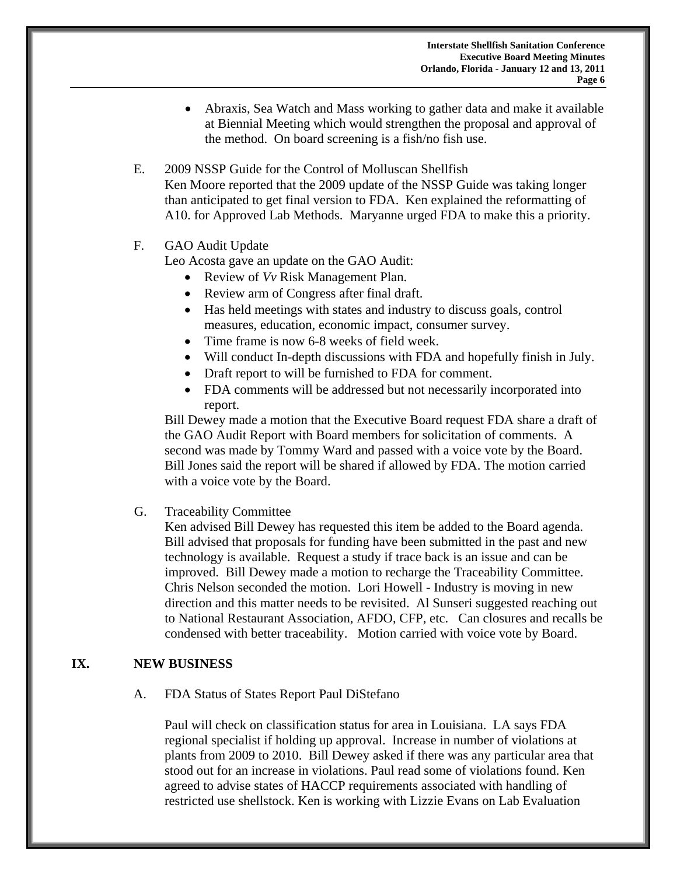- Abraxis, Sea Watch and Mass working to gather data and make it available at Biennial Meeting which would strengthen the proposal and approval of the method. On board screening is a fish/no fish use.
- E. 2009 NSSP Guide for the Control of Molluscan Shellfish Ken Moore reported that the 2009 update of the NSSP Guide was taking longer than anticipated to get final version to FDA. Ken explained the reformatting of A10. for Approved Lab Methods. Maryanne urged FDA to make this a priority.
- F. GAO Audit Update

Leo Acosta gave an update on the GAO Audit:

- Review of *Vv* Risk Management Plan.
- Review arm of Congress after final draft.
- Has held meetings with states and industry to discuss goals, control measures, education, economic impact, consumer survey.
- Time frame is now 6-8 weeks of field week.
- Will conduct In-depth discussions with FDA and hopefully finish in July.
- Draft report to will be furnished to FDA for comment.
- FDA comments will be addressed but not necessarily incorporated into report.

Bill Dewey made a motion that the Executive Board request FDA share a draft of the GAO Audit Report with Board members for solicitation of comments. A second was made by Tommy Ward and passed with a voice vote by the Board. Bill Jones said the report will be shared if allowed by FDA. The motion carried with a voice vote by the Board.

G. Traceability Committee

Ken advised Bill Dewey has requested this item be added to the Board agenda. Bill advised that proposals for funding have been submitted in the past and new technology is available. Request a study if trace back is an issue and can be improved. Bill Dewey made a motion to recharge the Traceability Committee. Chris Nelson seconded the motion. Lori Howell - Industry is moving in new direction and this matter needs to be revisited. Al Sunseri suggested reaching out to National Restaurant Association, AFDO, CFP, etc. Can closures and recalls be condensed with better traceability. Motion carried with voice vote by Board.

### **IX. NEW BUSINESS**

A. FDA Status of States Report Paul DiStefano

Paul will check on classification status for area in Louisiana. LA says FDA regional specialist if holding up approval. Increase in number of violations at plants from 2009 to 2010. Bill Dewey asked if there was any particular area that stood out for an increase in violations. Paul read some of violations found. Ken agreed to advise states of HACCP requirements associated with handling of restricted use shellstock. Ken is working with Lizzie Evans on Lab Evaluation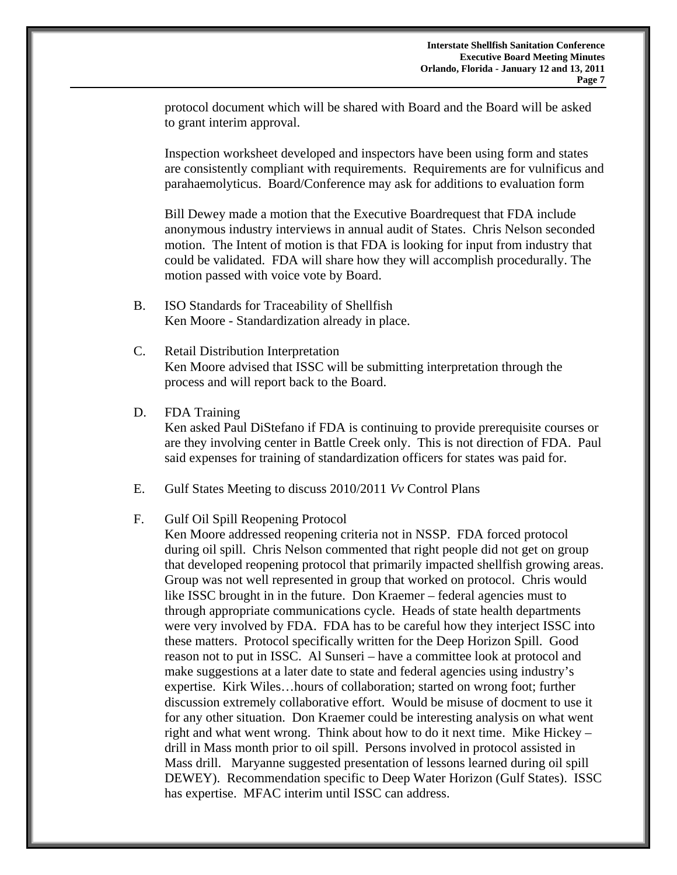protocol document which will be shared with Board and the Board will be asked to grant interim approval.

Inspection worksheet developed and inspectors have been using form and states are consistently compliant with requirements. Requirements are for vulnificus and parahaemolyticus. Board/Conference may ask for additions to evaluation form

Bill Dewey made a motion that the Executive Boardrequest that FDA include anonymous industry interviews in annual audit of States. Chris Nelson seconded motion. The Intent of motion is that FDA is looking for input from industry that could be validated. FDA will share how they will accomplish procedurally. The motion passed with voice vote by Board.

- B. ISO Standards for Traceability of Shellfish Ken Moore - Standardization already in place.
- C. Retail Distribution Interpretation Ken Moore advised that ISSC will be submitting interpretation through the process and will report back to the Board.
- D. FDA Training

Ken asked Paul DiStefano if FDA is continuing to provide prerequisite courses or are they involving center in Battle Creek only. This is not direction of FDA. Paul said expenses for training of standardization officers for states was paid for.

- E. Gulf States Meeting to discuss 2010/2011 *Vv* Control Plans
- F. Gulf Oil Spill Reopening Protocol

Ken Moore addressed reopening criteria not in NSSP. FDA forced protocol during oil spill. Chris Nelson commented that right people did not get on group that developed reopening protocol that primarily impacted shellfish growing areas. Group was not well represented in group that worked on protocol. Chris would like ISSC brought in in the future. Don Kraemer – federal agencies must to through appropriate communications cycle. Heads of state health departments were very involved by FDA. FDA has to be careful how they interject ISSC into these matters. Protocol specifically written for the Deep Horizon Spill. Good reason not to put in ISSC. Al Sunseri – have a committee look at protocol and make suggestions at a later date to state and federal agencies using industry's expertise. Kirk Wiles…hours of collaboration; started on wrong foot; further discussion extremely collaborative effort. Would be misuse of docment to use it for any other situation. Don Kraemer could be interesting analysis on what went right and what went wrong. Think about how to do it next time. Mike Hickey – drill in Mass month prior to oil spill. Persons involved in protocol assisted in Mass drill. Maryanne suggested presentation of lessons learned during oil spill DEWEY). Recommendation specific to Deep Water Horizon (Gulf States). ISSC has expertise. MFAC interim until ISSC can address.